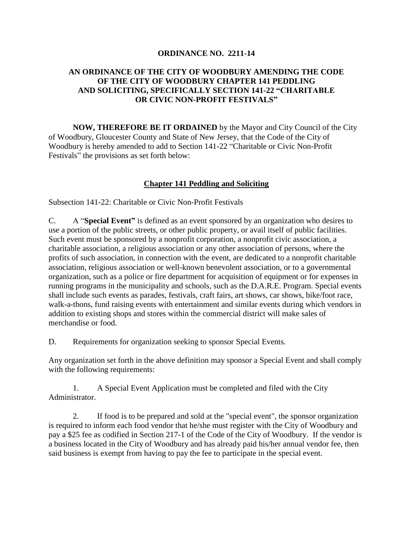## **ORDINANCE NO. 2211-14**

## **AN ORDINANCE OF THE CITY OF WOODBURY AMENDING THE CODE OF THE CITY OF WOODBURY CHAPTER 141 PEDDLING AND SOLICITING, SPECIFICALLY SECTION 141-22 "CHARITABLE OR CIVIC NON-PROFIT FESTIVALS"**

**NOW, THEREFORE BE IT ORDAINED** by the Mayor and City Council of the City of Woodbury, Gloucester County and State of New Jersey, that the Code of the City of Woodbury is hereby amended to add to Section 141-22 "Charitable or Civic Non-Profit Festivals" the provisions as set forth below:

## **Chapter 141 Peddling and Soliciting**

Subsection 141-22: Charitable or Civic Non-Profit Festivals

C. A "**Special Event"** is defined as an event sponsored by an organization who desires to use a portion of the public streets, or other public property, or avail itself of public facilities. Such event must be sponsored by a nonprofit corporation, a nonprofit civic association, a charitable association, a religious association or any other association of persons, where the profits of such association, in connection with the event, are dedicated to a nonprofit charitable association, religious association or well-known benevolent association, or to a governmental organization, such as a police or fire department for acquisition of equipment or for expenses in running programs in the municipality and schools, such as the D.A.R.E. Program. Special events shall include such events as parades, festivals, craft fairs, art shows, car shows, bike/foot race, walk-a-thons, fund raising events with entertainment and similar events during which vendors in addition to existing shops and stores within the commercial district will make sales of merchandise or food.

D. Requirements for organization seeking to sponsor Special Events.

Any organization set forth in the above definition may sponsor a Special Event and shall comply with the following requirements:

1. A Special Event Application must be completed and filed with the City Administrator.

2. If food is to be prepared and sold at the "special event", the sponsor organization is required to inform each food vendor that he/she must register with the City of Woodbury and pay a \$25 fee as codified in Section 217-1 of the Code of the City of Woodbury. If the vendor is a business located in the City of Woodbury and has already paid his/her annual vendor fee, then said business is exempt from having to pay the fee to participate in the special event.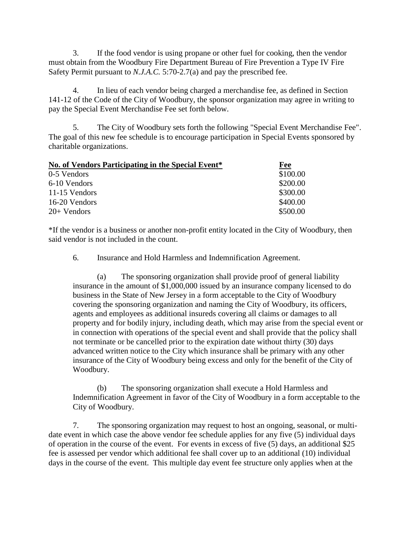3. If the food vendor is using propane or other fuel for cooking, then the vendor must obtain from the Woodbury Fire Department Bureau of Fire Prevention a Type IV Fire Safety Permit pursuant to *N.J.A.C.* 5:70-2.7(a) and pay the prescribed fee.

4. In lieu of each vendor being charged a merchandise fee, as defined in Section 141-12 of the Code of the City of Woodbury, the sponsor organization may agree in writing to pay the Special Event Merchandise Fee set forth below.

5. The City of Woodbury sets forth the following "Special Event Merchandise Fee". The goal of this new fee schedule is to encourage participation in Special Events sponsored by charitable organizations.

| No. of Vendors Participating in the Special Event* | Fee      |
|----------------------------------------------------|----------|
| 0-5 Vendors                                        | \$100.00 |
| 6-10 Vendors                                       | \$200.00 |
| 11-15 Vendors                                      | \$300.00 |
| 16-20 Vendors                                      | \$400.00 |
| $20+$ Vendors                                      | \$500.00 |

\*If the vendor is a business or another non-profit entity located in the City of Woodbury, then said vendor is not included in the count.

6. Insurance and Hold Harmless and Indemnification Agreement.

(a) The sponsoring organization shall provide proof of general liability insurance in the amount of \$1,000,000 issued by an insurance company licensed to do business in the State of New Jersey in a form acceptable to the City of Woodbury covering the sponsoring organization and naming the City of Woodbury, its officers, agents and employees as additional insureds covering all claims or damages to all property and for bodily injury, including death, which may arise from the special event or in connection with operations of the special event and shall provide that the policy shall not terminate or be cancelled prior to the expiration date without thirty (30) days advanced written notice to the City which insurance shall be primary with any other insurance of the City of Woodbury being excess and only for the benefit of the City of Woodbury.

(b) The sponsoring organization shall execute a Hold Harmless and Indemnification Agreement in favor of the City of Woodbury in a form acceptable to the City of Woodbury.

7. The sponsoring organization may request to host an ongoing, seasonal, or multidate event in which case the above vendor fee schedule applies for any five (5) individual days of operation in the course of the event. For events in excess of five (5) days, an additional \$25 fee is assessed per vendor which additional fee shall cover up to an additional (10) individual days in the course of the event. This multiple day event fee structure only applies when at the